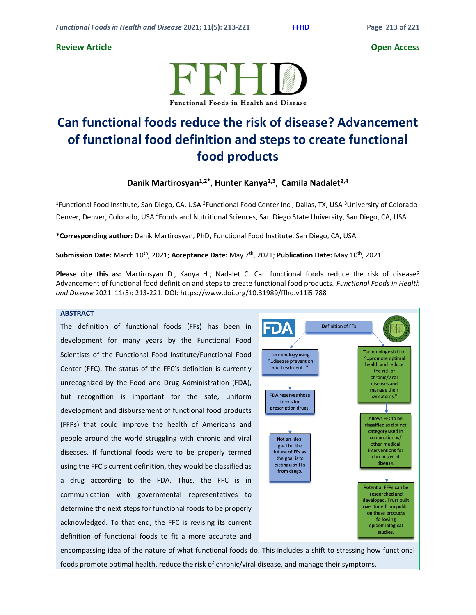# **Review Article Open Access**



# **Can functional foods reduce the risk of disease? Advancement of functional food definition and steps to create functional food products**

**Danik Martirosyan1,2\* , Hunter Kanya2,3 , Camila Nadalet2,4**

<sup>1</sup>Functional Food Institute, San Diego, CA, USA <sup>2</sup>Functional Food Center Inc., Dallas, TX, USA <sup>3</sup>University of Colorado-Denver, Denver, Colorado, USA <sup>4</sup>Foods and Nutritional Sciences, San Diego State University, San Diego, CA, USA

**\*Corresponding author:** Danik Martirosyan, PhD, Functional Food Institute, San Diego, CA, USA

**Submission Date:** March 10th , 2021; **Acceptance Date:** May 7 th , 2021; **Publication Date:** May 10th , 2021

**Please cite this as:** Martirosyan D., Kanya H., Nadalet C. Can functional foods reduce the risk of disease? Advancement of functional food definition and steps to create functional food products. *Functional Foods in Health and Disease* 2021; 11(5): 213-221. DOI: https://www.doi.org/10.31989/ffhd.v11i5.788

# **ABSTRACT**

The definition of functional foods (FFs) has been in development for many years by the Functional Food Scientists of the Functional Food Institute/Functional Food Center (FFC). The status of the FFC's definition is currently unrecognized by the Food and Drug Administration (FDA), but recognition is important for the safe, uniform development and disbursement of functional food products (FFPs) that could improve the health of Americans and people around the world struggling with chronic and viral diseases. If functional foods were to be properly termed using the FFC's current definition, they would be classified as a drug according to the FDA. Thus, the FFC is in communication with governmental representatives to determine the next steps for functional foods to be properly acknowledged. To that end, the FFC is revising its current definition of functional foods to fit a more accurate and



encompassing idea of the nature of what functional foods do. This includes a shift to stressing how functional foods promote optimal health, reduce the risk of chronic/viral disease, and manage their symptoms.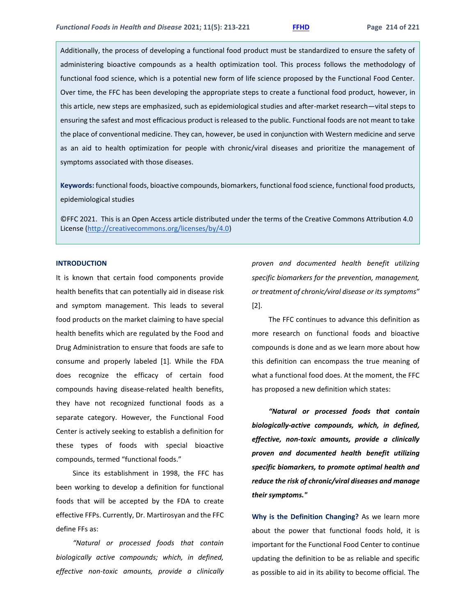Additionally, the process of developing a functional food product must be standardized to ensure the safety of administering bioactive compounds as a health optimization tool. This process follows the methodology of functional food science, which is a potential new form of life science proposed by the Functional Food Center. Over time, the FFC has been developing the appropriate steps to create a functional food product, however, in this article, new steps are emphasized, such as epidemiological studies and after-market research—vital steps to ensuring the safest and most efficacious product is released to the public. Functional foods are not meant to take the place of conventional medicine. They can, however, be used in conjunction with Western medicine and serve as an aid to health optimization for people with chronic/viral diseases and prioritize the management of symptoms associated with those diseases.

**Keywords:** functional foods, bioactive compounds, biomarkers, functional food science, functional food products, epidemiological studies

©FFC 2021. This is an Open Access article distributed under the terms of the Creative Commons Attribution 4.0 License [\(http://creativecommons.org/licenses/by/4.0\)](http://creativecommons.org/licenses/by/4.0)

### **INTRODUCTION**

It is known that certain food components provide health benefits that can potentially aid in disease risk and symptom management. This leads to several food products on the market claiming to have special health benefits which are regulated by the Food and Drug Administration to ensure that foods are safe to consume and properly labeled [1]. While the FDA does recognize the efficacy of certain food compounds having disease-related health benefits, they have not recognized functional foods as a separate category. However, the Functional Food Center is actively seeking to establish a definition for these types of foods with special bioactive compounds, termed "functional foods."

Since its establishment in 1998, the FFC has been working to develop a definition for functional foods that will be accepted by the FDA to create effective FFPs. Currently, Dr. Martirosyan and the FFC define FFs as:

*"Natural or processed foods that contain biologically active compounds; which, in defined, effective non-toxic amounts, provide a clinically*  *proven and documented health benefit utilizing specific biomarkers for the prevention, management, or treatment of chronic/viral disease or its symptoms"*  [2].

The FFC continues to advance this definition as more research on functional foods and bioactive compounds is done and as we learn more about how this definition can encompass the true meaning of what a functional food does. At the moment, the FFC has proposed a new definition which states:

*"Natural or processed foods that contain biologically-active compounds, which, in defined, effective, non-toxic amounts, provide a clinically proven and documented health benefit utilizing specific biomarkers, to promote optimal health and reduce the risk of chronic/viral diseases and manage their symptoms."*

**Why is the Definition Changing?** As we learn more about the power that functional foods hold, it is important for the Functional Food Center to continue updating the definition to be as reliable and specific as possible to aid in its ability to become official. The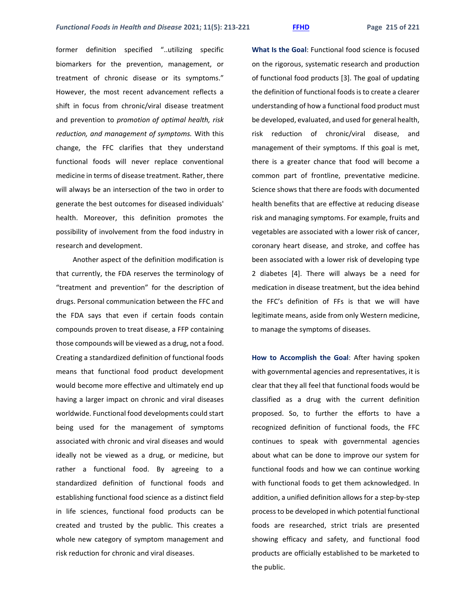former definition specified "..utilizing specific biomarkers for the prevention, management, or treatment of chronic disease or its symptoms." However, the most recent advancement reflects a shift in focus from chronic/viral disease treatment and prevention to *promotion of optimal health, risk reduction, and management of symptoms.* With this change, the FFC clarifies that they understand functional foods will never replace conventional medicine in terms of disease treatment. Rather, there will always be an intersection of the two in order to generate the best outcomes for diseased individuals' health. Moreover, this definition promotes the possibility of involvement from the food industry in research and development.

Another aspect of the definition modification is that currently, the FDA reserves the terminology of "treatment and prevention" for the description of drugs. Personal communication between the FFC and the FDA says that even if certain foods contain compounds proven to treat disease, a FFP containing those compounds will be viewed as a drug, not a food. Creating a standardized definition of functional foods means that functional food product development would become more effective and ultimately end up having a larger impact on chronic and viral diseases worldwide. Functional food developments could start being used for the management of symptoms associated with chronic and viral diseases and would ideally not be viewed as a drug, or medicine, but rather a functional food. By agreeing to a standardized definition of functional foods and establishing functional food science as a distinct field in life sciences, functional food products can be created and trusted by the public. This creates a whole new category of symptom management and risk reduction for chronic and viral diseases.

**What Is the Goal**: Functional food science is focused on the rigorous, systematic research and production of functional food products [3]. The goal of updating the definition of functional foods is to create a clearer understanding of how a functional food product must be developed, evaluated, and used for general health, risk reduction of chronic/viral disease, and management of their symptoms. If this goal is met, there is a greater chance that food will become a common part of frontline, preventative medicine. Science shows that there are foods with documented health benefits that are effective at reducing disease risk and managing symptoms. For example, fruits and vegetables are associated with a lower risk of cancer, coronary heart disease, and stroke, and coffee has been associated with a lower risk of developing type 2 diabetes [4]. There will always be a need for medication in disease treatment, but the idea behind the FFC's definition of FFs is that we will have legitimate means, aside from only Western medicine, to manage the symptoms of diseases.

**How to Accomplish the Goal**: After having spoken with governmental agencies and representatives, it is clear that they all feel that functional foods would be classified as a drug with the current definition proposed. So, to further the efforts to have a recognized definition of functional foods, the FFC continues to speak with governmental agencies about what can be done to improve our system for functional foods and how we can continue working with functional foods to get them acknowledged. In addition, a unified definition allows for a step-by-step process to be developed in which potential functional foods are researched, strict trials are presented showing efficacy and safety, and functional food products are officially established to be marketed to the public.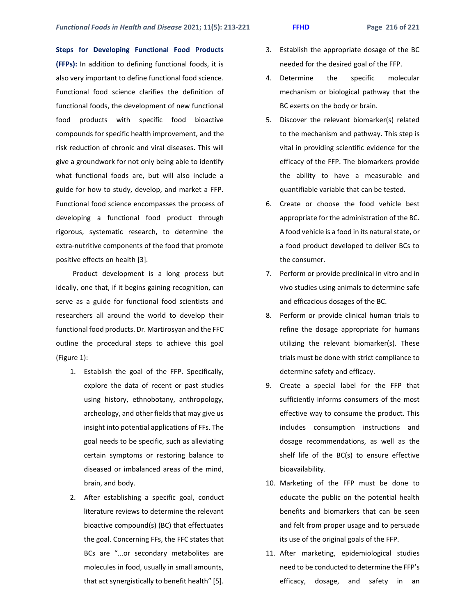**Steps for Developing Functional Food Products (FFPs):** In addition to defining functional foods, it is also very important to define functional food science. Functional food science clarifies the definition of functional foods, the development of new functional food products with specific food bioactive compounds for specific health improvement, and the risk reduction of chronic and viral diseases. This will give a groundwork for not only being able to identify what functional foods are, but will also include a guide for how to study, develop, and market a FFP. Functional food science encompasses the process of developing a functional food product through rigorous, systematic research, to determine the extra-nutritive components of the food that promote positive effects on health [3].

Product development is a long process but ideally, one that, if it begins gaining recognition, can serve as a guide for functional food scientists and researchers all around the world to develop their functional food products. Dr. Martirosyan and the FFC outline the procedural steps to achieve this goal (Figure 1):

- 1. Establish the goal of the FFP. Specifically, explore the data of recent or past studies using history, ethnobotany, anthropology, archeology, and other fields that may give us insight into potential applications of FFs. The goal needs to be specific, such as alleviating certain symptoms or restoring balance to diseased or imbalanced areas of the mind, brain, and body.
- 2. After establishing a specific goal, conduct literature reviews to determine the relevant bioactive compound(s) (BC) that effectuates the goal. Concerning FFs, the FFC states that BCs are "...or secondary metabolites are molecules in food, usually in small amounts, that act synergistically to benefit health" [5].
- 3. Establish the appropriate dosage of the BC needed for the desired goal of the FFP.
- 4. Determine the specific molecular mechanism or biological pathway that the BC exerts on the body or brain.
- 5. Discover the relevant biomarker(s) related to the mechanism and pathway. This step is vital in providing scientific evidence for the efficacy of the FFP. The biomarkers provide the ability to have a measurable and quantifiable variable that can be tested.
- 6. Create or choose the food vehicle best appropriate for the administration of the BC. A food vehicle is a food in its natural state, or a food product developed to deliver BCs to the consumer.
- 7. Perform or provide preclinical in vitro and in vivo studies using animals to determine safe and efficacious dosages of the BC.
- 8. Perform or provide clinical human trials to refine the dosage appropriate for humans utilizing the relevant biomarker(s). These trials must be done with strict compliance to determine safety and efficacy.
- 9. Create a special label for the FFP that sufficiently informs consumers of the most effective way to consume the product. This includes consumption instructions and dosage recommendations, as well as the shelf life of the BC(s) to ensure effective bioavailability.
- 10. Marketing of the FFP must be done to educate the public on the potential health benefits and biomarkers that can be seen and felt from proper usage and to persuade its use of the original goals of the FFP.
- 11. After marketing, epidemiological studies need to be conducted to determine the FFP's efficacy, dosage, and safety in an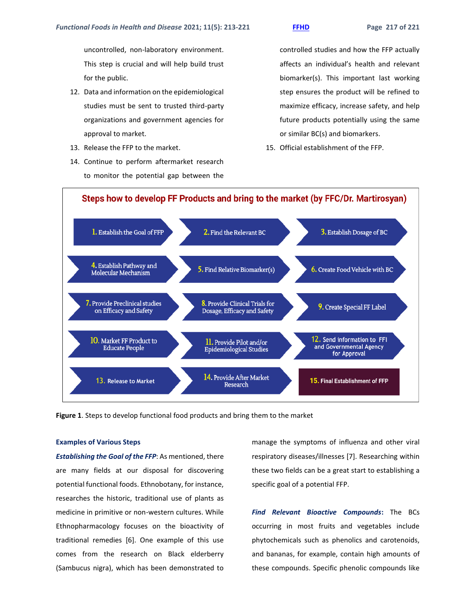uncontrolled, non-laboratory environment. This step is crucial and will help build trust for the public.

- 12. Data and information on the epidemiological studies must be sent to trusted third-party organizations and government agencies for approval to market.
- 13. Release the FFP to the market.
- 14. Continue to perform aftermarket research to monitor the potential gap between the

controlled studies and how the FFP actually affects an individual's health and relevant biomarker(s). This important last working step ensures the product will be refined to maximize efficacy, increase safety, and help future products potentially using the same or similar BC(s) and biomarkers.

15. Official establishment of the FFP.



**Figure 1**. Steps to develop functional food products and bring them to the market

### **Examples of Various Steps**

*Establishing the Goal of the FFP*: As mentioned, there are many fields at our disposal for discovering potential functional foods. Ethnobotany, for instance, researches the historic, traditional use of plants as medicine in primitive or non-western cultures. While Ethnopharmacology focuses on the bioactivity of traditional remedies [6]. One example of this use comes from the research on Black elderberry (Sambucus nigra), which has been demonstrated to

manage the symptoms of influenza and other viral respiratory diseases/illnesses [7]. Researching within these two fields can be a great start to establishing a specific goal of a potential FFP.

*Find Relevant Bioactive Compounds***:** The BCs occurring in most fruits and vegetables include phytochemicals such as phenolics and carotenoids, and bananas, for example, contain high amounts of these compounds. Specific phenolic compounds like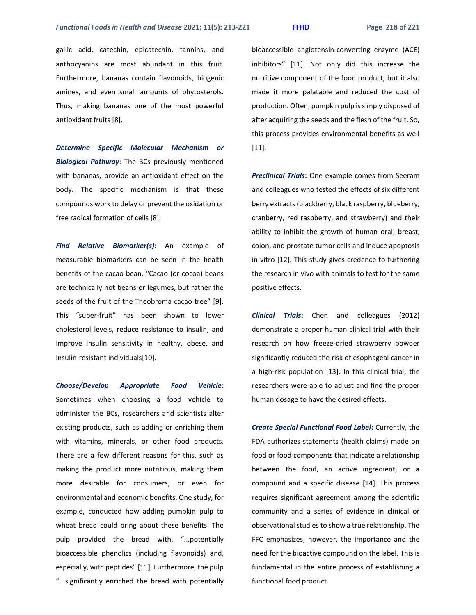gallic acid, catechin, epicatechin, tannins, and anthocyanins are most abundant in this fruit. Furthermore, bananas contain flavonoids, biogenic amines, and even small amounts of phytosterols. Thus, making bananas one of the most powerful antioxidant fruits [8].

*Determine Specific Molecular Mechanism or Biological Pathway*: The BCs previously mentioned with bananas, provide an antioxidant effect on the body. The specific mechanism is that these compounds work to delay or prevent the oxidation or free radical formation of cells [8].

*Find Relative Biomarker(s)*: An example of measurable biomarkers can be seen in the health benefits of the cacao bean. "Cacao (or cocoa) beans are technically not beans or legumes, but rather the seeds of the fruit of the Theobroma cacao tree" [9]. This "super-fruit" has been shown to lower cholesterol levels, reduce resistance to insulin, and improve insulin sensitivity in healthy, obese, and insulin-resistant individuals[10].

*Choose/Develop Appropriate Food Vehicle***:** Sometimes when choosing a food vehicle to administer the BCs, researchers and scientists alter existing products, such as adding or enriching them with vitamins, minerals, or other food products. There are a few different reasons for this, such as making the product more nutritious, making them more desirable for consumers, or even for environmental and economic benefits. One study, for example, conducted how adding pumpkin pulp to wheat bread could bring about these benefits. The pulp provided the bread with, "...potentially bioaccessible phenolics (including flavonoids) and, especially, with peptides" [11]. Furthermore, the pulp "...significantly enriched the bread with potentially

bioaccessible angiotensin-converting enzyme (ACE) inhibitors" [11]. Not only did this increase the nutritive component of the food product, but it also made it more palatable and reduced the cost of production. Often, pumpkin pulp is simply disposed of after acquiring the seeds and the flesh of the fruit. So, this process provides environmental benefits as well [11].

*Preclinical Trials***:** One example comes from Seeram and colleagues who tested the effects of six different berry extracts (blackberry, black raspberry, blueberry, cranberry, red raspberry, and strawberry) and their ability to inhibit the growth of human oral, breast, colon, and prostate tumor cells and induce apoptosis in vitro [12]. This study gives credence to furthering the research in vivo with animals to test for the same positive effects.

*Clinical Trials***:** Chen and colleagues (2012) demonstrate a proper human clinical trial with their research on how freeze-dried strawberry powder significantly reduced the risk of esophageal cancer in a high-risk population [13]. In this clinical trial, the researchers were able to adjust and find the proper human dosage to have the desired effects.

*Create Special Functional Food Label***:** Currently, the FDA authorizes statements (health claims) made on food or food components that indicate a relationship between the food, an active ingredient, or a compound and a specific disease [14]. This process requires significant agreement among the scientific community and a series of evidence in clinical or observational studies to show a true relationship. The FFC emphasizes, however, the importance and the need for the bioactive compound on the label. This is fundamental in the entire process of establishing a functional food product.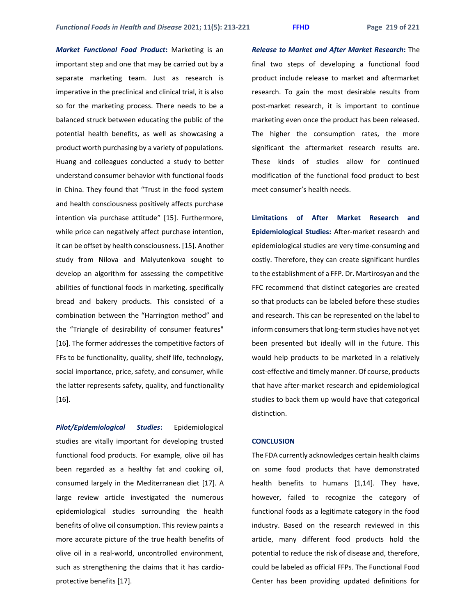*Market Functional Food Product***:** Marketing is an important step and one that may be carried out by a separate marketing team. Just as research is imperative in the preclinical and clinical trial, it is also so for the marketing process. There needs to be a balanced struck between educating the public of the potential health benefits, as well as showcasing a product worth purchasing by a variety of populations. Huang and colleagues conducted a study to better understand consumer behavior with functional foods in China. They found that "Trust in the food system and health consciousness positively affects purchase intention via purchase attitude" [15]. Furthermore, while price can negatively affect purchase intention, it can be offset by health consciousness. [15]. Another study from Nilova and Malyutenkova sought to develop an algorithm for assessing the competitive abilities of functional foods in marketing, specifically bread and bakery products. This consisted of a combination between the "Harrington method" and the "Triangle of desirability of consumer features" [16]. The former addresses the competitive factors of FFs to be functionality, quality, shelf life, technology, social importance, price, safety, and consumer, while the latter represents safety, quality, and functionality [16].

*Pilot/Epidemiological Studies***:** Epidemiological studies are vitally important for developing trusted functional food products. For example, olive oil has been regarded as a healthy fat and cooking oil, consumed largely in the Mediterranean diet [17]. A large review article investigated the numerous epidemiological studies surrounding the health benefits of olive oil consumption. This review paints a more accurate picture of the true health benefits of olive oil in a real-world, uncontrolled environment, such as strengthening the claims that it has cardioprotective benefits [17].

*Release to Market and After Market Research***:** The final two steps of developing a functional food product include release to market and aftermarket research. To gain the most desirable results from post-market research, it is important to continue marketing even once the product has been released. The higher the consumption rates, the more significant the aftermarket research results are. These kinds of studies allow for continued modification of the functional food product to best meet consumer's health needs.

**Limitations of After Market Research and Epidemiological Studies:** After-market research and epidemiological studies are very time-consuming and costly. Therefore, they can create significant hurdles to the establishment of a FFP. Dr. Martirosyan and the FFC recommend that distinct categories are created so that products can be labeled before these studies and research. This can be represented on the label to inform consumers that long-term studies have not yet been presented but ideally will in the future. This would help products to be marketed in a relatively cost-effective and timely manner. Of course, products that have after-market research and epidemiological studies to back them up would have that categorical distinction.

### **CONCLUSION**

The FDA currently acknowledges certain health claims on some food products that have demonstrated health benefits to humans [1,14]. They have, however, failed to recognize the category of functional foods as a legitimate category in the food industry. Based on the research reviewed in this article, many different food products hold the potential to reduce the risk of disease and, therefore, could be labeled as official FFPs. The Functional Food Center has been providing updated definitions for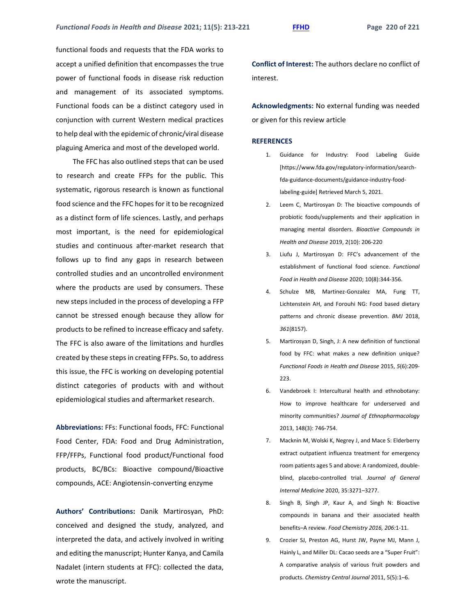functional foods and requests that the FDA works to accept a unified definition that encompasses the true power of functional foods in disease risk reduction and management of its associated symptoms. Functional foods can be a distinct category used in conjunction with current Western medical practices to help deal with the epidemic of chronic/viral disease plaguing America and most of the developed world.

The FFC has also outlined steps that can be used to research and create FFPs for the public. This systematic, rigorous research is known as functional food science and the FFC hopes for it to be recognized as a distinct form of life sciences. Lastly, and perhaps most important, is the need for epidemiological studies and continuous after-market research that follows up to find any gaps in research between controlled studies and an uncontrolled environment where the products are used by consumers. These new steps included in the process of developing a FFP cannot be stressed enough because they allow for products to be refined to increase efficacy and safety. The FFC is also aware of the limitations and hurdles created by these steps in creating FFPs. So, to address this issue, the FFC is working on developing potential distinct categories of products with and without epidemiological studies and aftermarket research.

**Abbreviations:** FFs: Functional foods, FFC: Functional Food Center, FDA: Food and Drug Administration, FFP/FFPs, Functional food product/Functional food products, BC/BCs: Bioactive compound/Bioactive compounds, ACE: Angiotensin-converting enzyme

**Authors' Contributions:** Danik Martirosyan, PhD: conceived and designed the study, analyzed, and interpreted the data, and actively involved in writing and editing the manuscript; Hunter Kanya, and Camila Nadalet (intern students at FFC): collected the data, wrote the manuscript.

**Conflict of Interest:** The authors declare no conflict of interest.

**Acknowledgments:** No external funding was needed or given for this review article

# **REFERENCES**

- 1. Guidance for Industry: Food Labeling Guide [https://www.fda.gov/regulatory-information/searchfda-guidance-documents/guidance-industry-foodlabeling-guide] Retrieved March 5, 2021.
- 2. Leem C, Martirosyan D: The bioactive compounds of probiotic foods/supplements and their application in managing mental disorders. *Bioactive Compounds in Health and Disease* 2019, 2(10): 206-220
- 3. Liufu J, Martirosyan D: FFC's advancement of the establishment of functional food science. *Functional Food in Health and Disease* 2020; 10(8):344-356.
- 4. Schulze MB, Martinez-Gonzalez MA, Fung TT, Lichtenstein AH, and Forouhi NG: Food based dietary patterns and chronic disease prevention. *BMJ* 2018, *361*(8157).
- 5. Martirosyan D, Singh, J: A new definition of functional food by FFC: what makes a new definition unique? *Functional Foods in Health and Disease* 2015, *5*(6):209- 223.
- 6. Vandebroek I: Intercultural health and ethnobotany: How to improve healthcare for underserved and minority communities? *Journal of Ethnopharmacology* 2013, 148(3): 746-754.
- 7. Macknin M, Wolski K, Negrey J, and Mace S: Elderberry extract outpatient influenza treatment for emergency room patients ages 5 and above: A randomized, doubleblind, placebo-controlled trial. *Journal of General Internal Medicine* 2020, 35:3271–3277.
- 8. Singh B, Singh JP, Kaur A, and Singh N: Bioactive compounds in banana and their associated health benefits–A review. *Food Chemistry 2016, 206:*1-11.
- 9. Crozier SJ, Preston AG, Hurst JW, Payne MJ, Mann J, Hainly L, and Miller DL: Cacao seeds are a "Super Fruit": A comparative analysis of various fruit powders and products. *Chemistry Central Journal* 2011, 5(5):1–6.